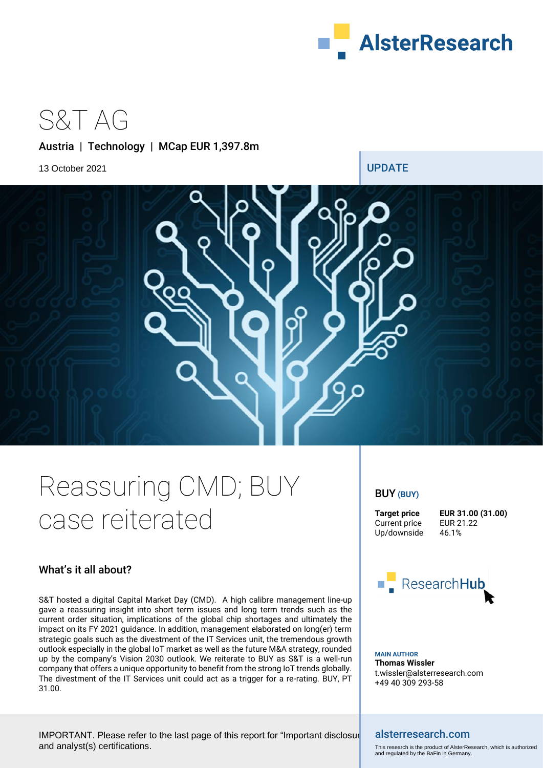

S&T AG

# Austria | Technology | MCap EUR 1,397.8m



# Reassuring CMD; BUY case reiterated

# What's it all about?

S&T hosted a digital Capital Market Day (CMD). A high calibre management line-up gave a reassuring insight into short term issues and long term trends such as the current order situation, implications of the global chip shortages and ultimately the impact on its FY 2021 guidance. In addition, management elaborated on long(er) term strategic goals such as the divestment of the IT Services unit, the tremendous growth outlook especially in the global IoT market as well as the future M&A strategy, rounded up by the company's Vision 2030 outlook. We reiterate to BUY as S&T is a well-run company that offers a unique opportunity to benefit from the strong IoT trends globally. The divestment of the IT Services unit could act as a trigger for a re-rating. BUY, PT 31.00.

# BUY **(BUY)**

Current price Up/downside 46.1%

**Target price <b>EUR 31.00 (31.00)**<br>Current price **EUR 21.22** 



**MAIN AUTHOR Thomas Wissler** t.wissler@alsterresearch.com +49 40 309 293-58

IMPORTANT. Please refer to the last page of this report for "Important disclosure and analyst(s) certifications.

## alsterresearch.com

This research is the product of AlsterResearch, which is authorized and regulated by the BaFin in Germany.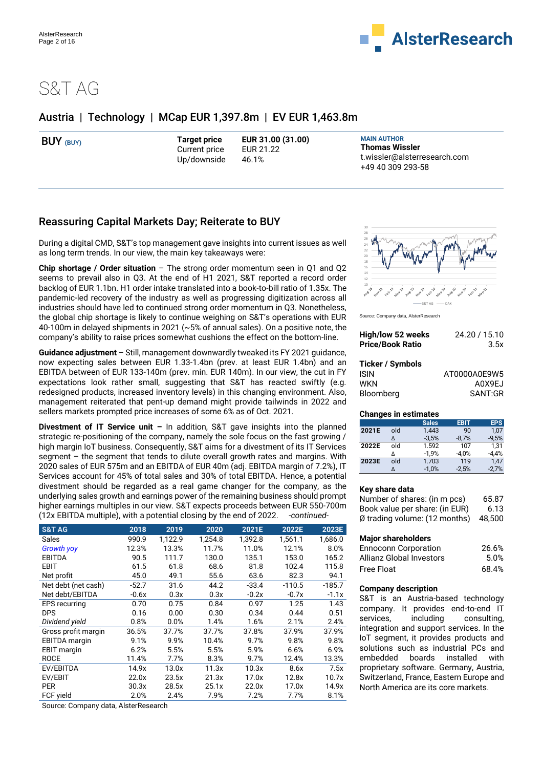

# S&T AG

# Austria | Technology | MCap EUR 1,397.8m | EV EUR 1,463.8m

| BUY (BUY) | Target price<br>Current price<br>Up/downside | EUR 31.00 (31.00)<br>EUR 21.22<br>46.1% | <b>MAIN AUTHOR</b><br><b>Thomas Wissler</b><br>t.wissler@alsterresearch.com |
|-----------|----------------------------------------------|-----------------------------------------|-----------------------------------------------------------------------------|
|           |                                              |                                         | +49 40 309 293-58                                                           |

# Reassuring Capital Markets Day; Reiterate to BUY

During a digital CMD, S&T's top management gave insights into current issues as well as long term trends. In our view, the main key takeaways were:

**Chip shortage / Order situation** – The strong order momentum seen in Q1 and Q2 seems to prevail also in Q3. At the end of H1 2021, S&T reported a record order backlog of EUR 1.1bn. H1 order intake translated into a book-to-bill ratio of 1.35x. The pandemic-led recovery of the industry as well as progressing digitization across all industries should have led to continued strong order momentum in Q3. Nonetheless, the global chip shortage is likely to continue weighing on S&T's operations with EUR 40-100m in delayed shipments in 2021 (~5% of annual sales). On a positive note, the company's ability to raise prices somewhat cushions the effect on the bottom-line.

**Guidance adjustment** – Still, management downwardly tweaked its FY 2021 guidance, now expecting sales between EUR 1.33-1.4bn (prev. at least EUR 1.4bn) and an EBITDA between of EUR 133-140m (prev. min. EUR 140m). In our view, the cut in FY expectations look rather small, suggesting that S&T has reacted swiftly (e.g. redesigned products, increased inventory levels) in this changing environment. Also, management reiterated that pent-up demand might provide tailwinds in 2022 and sellers markets prompted price increases of some 6% as of Oct. 2021.

**Divestment of IT Service unit –** In addition, S&T gave insights into the planned strategic re-positioning of the company, namely the sole focus on the fast growing / high margin IoT business. Consequently, S&T aims for a divestment of its IT Services segment – the segment that tends to dilute overall growth rates and margins. With 2020 sales of EUR 575m and an EBITDA of EUR 40m (adj. EBITDA margin of 7.2%), IT Services account for 45% of total sales and 30% of total EBITDA. Hence, a potential divestment should be regarded as a real game changer for the company, as the underlying sales growth and earnings power of the remaining business should prompt higher earnings multiples in our view. S&T expects proceeds between EUR 550-700m (12x EBITDA multiple), with a potential closing by the end of 2022. *-continued-*

| <b>S&amp;T AG</b>    | 2018    | 2019    | 2020    | 2021E   | 2022E    | 2023E    |
|----------------------|---------|---------|---------|---------|----------|----------|
| Sales                | 990.9   | 1,122.9 | 1,254.8 | 1.392.8 | 1.561.1  | 1,686.0  |
| <b>Growth yoy</b>    | 12.3%   | 13.3%   | 11.7%   | 11.0%   | 12.1%    | 8.0%     |
| <b>EBITDA</b>        | 90.5    | 111.7   | 130.0   | 135.1   | 153.0    | 165.2    |
| EBIT                 | 61.5    | 61.8    | 68.6    | 81.8    | 102.4    | 115.8    |
| Net profit           | 45.0    | 49.1    | 55.6    | 63.6    | 82.3     | 94.1     |
| Net debt (net cash)  | $-52.7$ | 31.6    | 44.2    | $-33.4$ | $-110.5$ | $-185.7$ |
| Net debt/EBITDA      | $-0.6x$ | 0.3x    | 0.3x    | $-0.2x$ | $-0.7x$  | $-1.1x$  |
| <b>EPS</b> recurring | 0.70    | 0.75    | 0.84    | 0.97    | 1.25     | 1.43     |
| <b>DPS</b>           | 0.16    | 0.00    | 0.30    | 0.34    | 0.44     | 0.51     |
| Dividend yield       | 0.8%    | 0.0%    | 1.4%    | 1.6%    | 2.1%     | 2.4%     |
| Gross profit margin  | 36.5%   | 37.7%   | 37.7%   | 37.8%   | 37.9%    | 37.9%    |
| <b>EBITDA</b> margin | 9.1%    | 9.9%    | 10.4%   | 9.7%    | 9.8%     | 9.8%     |
| <b>EBIT</b> margin   | 6.2%    | 5.5%    | 5.5%    | 5.9%    | 6.6%     | 6.9%     |
| <b>ROCE</b>          | 11.4%   | 7.7%    | 8.3%    | 9.7%    | 12.4%    | 13.3%    |
| EV/EBITDA            | 14.9x   | 13.0x   | 11.3x   | 10.3x   | 8.6x     | 7.5x     |
| EV/EBIT              | 22.0x   | 23.5x   | 21.3x   | 17.0x   | 12.8x    | 10.7x    |
| <b>PER</b>           | 30.3x   | 28.5x   | 25.1x   | 22.0x   | 17.0x    | 14.9x    |
| FCF yield            | 2.0%    | 2.4%    | 7.9%    | 7.2%    | 7.7%     | 8.1%     |

Source: Company data, AlsterResearch



Source: Company data, AlsterResearch

| High/low 52 weeks       | 24.20 / 15.10 |  |  |
|-------------------------|---------------|--|--|
| <b>Price/Book Ratio</b> | 3.5x          |  |  |
| Ticker / Symbols        |               |  |  |
| <b>ISIN</b>             | AT0000A0E9W5  |  |  |
| <b>WKN</b>              | A0X9EJ        |  |  |
| Bloomberg               | SANT:GR       |  |  |

### **Changes in estimates**

|       |     | <b>Sales</b> | <b>EBIT</b> | <b>EPS</b> |
|-------|-----|--------------|-------------|------------|
| 2021E | old | 1.443        | 90          | 1.07       |
|       |     | $-3.5%$      | $-8,7%$     | $-9.5%$    |
| 2022E | old | 1.592        | 107         | 1.31       |
|       |     | $-1.9%$      | $-4.0%$     | $-4.4%$    |
| 2023E | blo | 1.703        | 119         | 1.47       |
|       |     | $-1,0%$      | $-2.5%$     | $-2,7%$    |

### **Key share data**

| Number of shares: (in m pcs)            | 65.87  |
|-----------------------------------------|--------|
| Book value per share: (in EUR)          | 6.13   |
| $\emptyset$ trading volume: (12 months) | 48.500 |

### **Major shareholders**

| <b>Ennoconn Corporation</b>     | 26.6% |
|---------------------------------|-------|
| <b>Allianz Global Investors</b> | 5.0%  |
| <b>Free Float</b>               | 68.4% |

### **Company description**

S&T is an Austria-based technology company. It provides end-to-end IT services, including consulting, integration and support services. In the IoT segment, it provides products and solutions such as industrial PCs and embedded boards installed with proprietary software. Germany, Austria, Switzerland, France, Eastern Europe and North America are its core markets.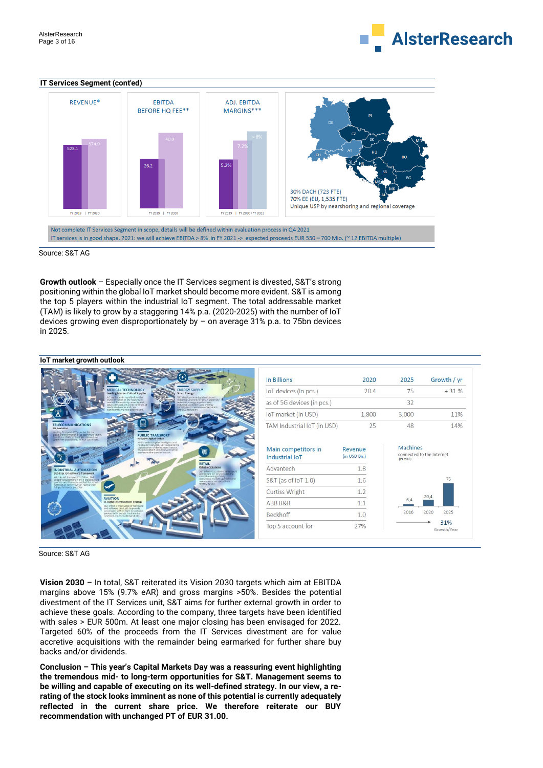

#### **IT Services Segment (cont'ed)**



Source: S&T AG

**Growth outlook** – Especially once the IT Services segment is divested, S&T's strong positioning within the global IoT market should become more evident. S&T is among the top 5 players within the industrial IoT segment. The total addressable market (TAM) is likely to grow by a staggering 14% p.a. (2020-2025) with the number of IoT devices growing even disproportionately by – on average 31% p.a. to 75bn devices in 2025.



Source: S&T AG

**Vision 2030** – In total, S&T reiterated its Vision 2030 targets which aim at EBITDA margins above 15% (9.7% eAR) and gross margins >50%. Besides the potential divestment of the IT Services unit, S&T aims for further external growth in order to achieve these goals. According to the company, three targets have been identified with sales > EUR 500m. At least one major closing has been envisaged for 2022. Targeted 60% of the proceeds from the IT Services divestment are for value accretive acquisitions with the remainder being earmarked for further share buy backs and/or dividends.

**Conclusion – This year's Capital Markets Day was a reassuring event highlighting the tremendous mid- to long-term opportunities for S&T. Management seems to be willing and capable of executing on its well-defined strategy. In our view, a rerating of the stock looks imminent as none of this potential is currently adequately reflected in the current share price. We therefore reiterate our BUY recommendation with unchanged PT of EUR 31.00.**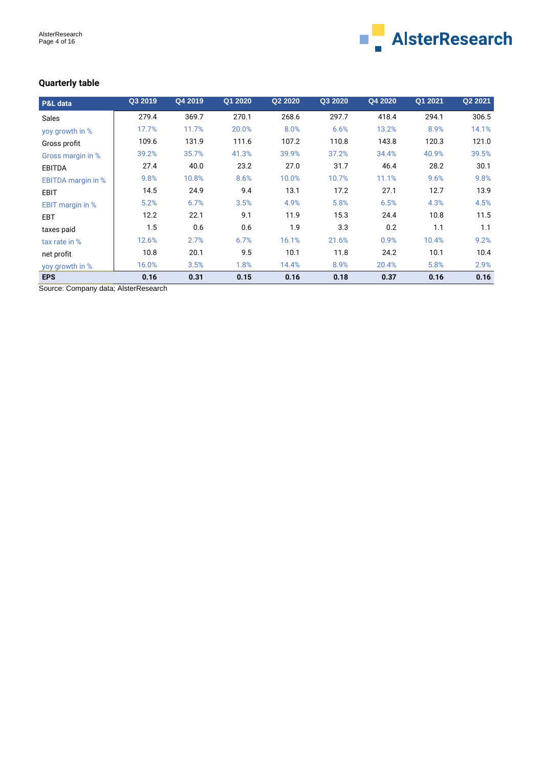

# **Quarterly table**

| P&L data                  | Q3 2019 | Q4 2019 | Q1 2020 | Q2 2020 | Q3 2020 | Q4 2020 | Q1 2021 | Q2 2021 |
|---------------------------|---------|---------|---------|---------|---------|---------|---------|---------|
| <b>Sales</b>              | 279.4   | 369.7   | 270.1   | 268.6   | 297.7   | 418.4   | 294.1   | 306.5   |
| yoy growth in %           | 17.7%   | 11.7%   | 20.0%   | 8.0%    | 6.6%    | 13.2%   | 8.9%    | 14.1%   |
| Gross profit              | 109.6   | 131.9   | 111.6   | 107.2   | 110.8   | 143.8   | 120.3   | 121.0   |
| Gross margin in %         | 39.2%   | 35.7%   | 41.3%   | 39.9%   | 37.2%   | 34.4%   | 40.9%   | 39.5%   |
| <b>EBITDA</b>             | 27.4    | 40.0    | 23.2    | 27.0    | 31.7    | 46.4    | 28.2    | 30.1    |
| <b>EBITDA</b> margin in % | 9.8%    | 10.8%   | 8.6%    | 10.0%   | 10.7%   | 11.1%   | 9.6%    | 9.8%    |
| <b>EBIT</b>               | 14.5    | 24.9    | 9.4     | 13.1    | 17.2    | 27.1    | 12.7    | 13.9    |
| <b>EBIT</b> margin in %   | 5.2%    | 6.7%    | 3.5%    | 4.9%    | 5.8%    | 6.5%    | 4.3%    | 4.5%    |
| <b>EBT</b>                | 12.2    | 22.1    | 9.1     | 11.9    | 15.3    | 24.4    | 10.8    | 11.5    |
| taxes paid                | 1.5     | 0.6     | 0.6     | 1.9     | 3.3     | 0.2     | 1.1     | 1.1     |
| tax rate in %             | 12.6%   | 2.7%    | 6.7%    | 16.1%   | 21.6%   | 0.9%    | 10.4%   | 9.2%    |
| net profit                | 10.8    | 20.1    | 9.5     | 10.1    | 11.8    | 24.2    | 10.1    | 10.4    |
| yoy growth in %           | 16.0%   | 3.5%    | 1.8%    | 14.4%   | 8.9%    | 20.4%   | 5.8%    | 2.9%    |
| <b>EPS</b>                | 0.16    | 0.31    | 0.15    | 0.16    | 0.18    | 0.37    | 0.16    | 0.16    |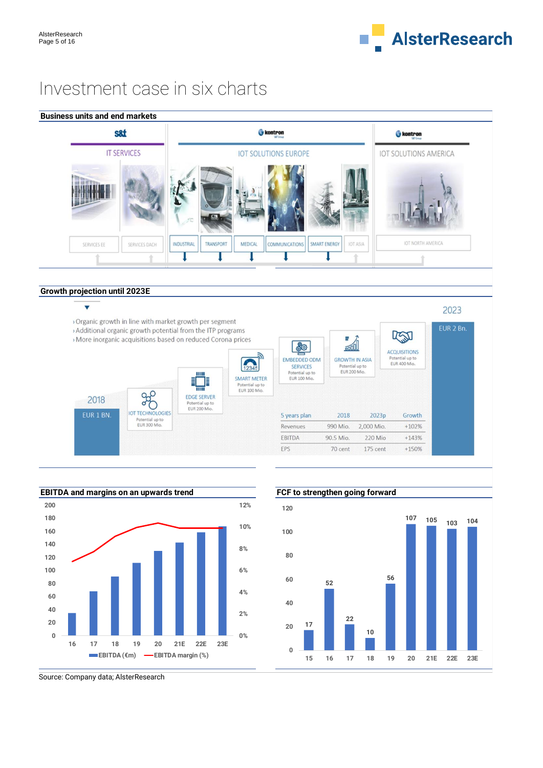

2023

# Investment case in six charts

|             | s8t                |                             |                  |                | kontron                     |                     |          | <b>C</b> kontron      |  |
|-------------|--------------------|-----------------------------|------------------|----------------|-----------------------------|---------------------|----------|-----------------------|--|
|             | <b>IT SERVICES</b> |                             |                  |                | <b>IOT SOLUTIONS EUROPE</b> |                     |          | IOT SOLUTIONS AMERICA |  |
|             |                    | $\mathcal{P}^{\mathcal{P}}$ |                  |                |                             |                     |          |                       |  |
| SERVICES EE | SERVICES DACH      | <b>INDUSTRIAL</b>           | <b>TRANSPORT</b> | <b>MEDICAL</b> | <b>COMMUNICATIONS</b>       | <b>SMART ENERGY</b> | IOT ASIA | IOT NORTH AMERICA     |  |
|             |                    |                             |                  |                |                             |                     |          |                       |  |

## **Growth projection until 2023E**

# $\overline{\mathbf{v}}$

> Organic growth in line with market growth per segment > Additional organic growth potential from the ITP programs

> More inorganic acquisitions based on reduced Corona prices







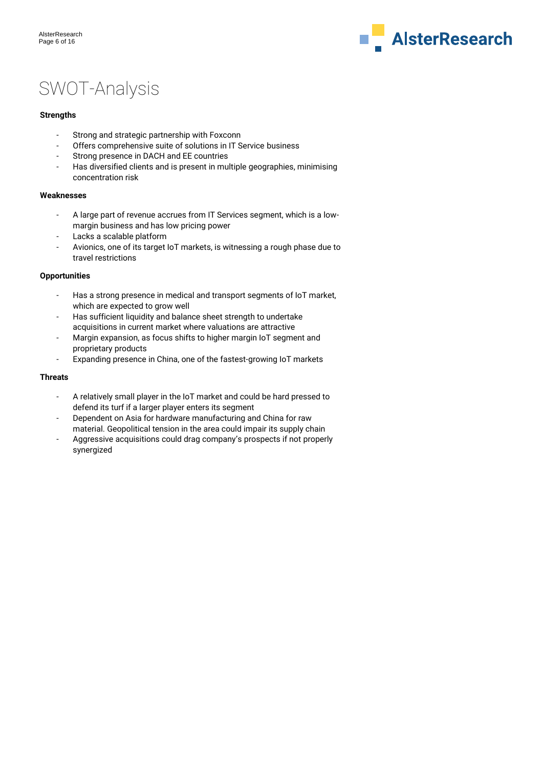

# SWOT-Analysis

## **Strengths**

- Strong and strategic partnership with Foxconn
- Offers comprehensive suite of solutions in IT Service business
- Strong presence in DACH and EE countries
- Has diversified clients and is present in multiple geographies, minimising concentration risk

## **Weaknesses**

- A large part of revenue accrues from IT Services segment, which is a lowmargin business and has low pricing power
- Lacks a scalable platform
- Avionics, one of its target IoT markets, is witnessing a rough phase due to travel restrictions

## **Opportunities**

- Has a strong presence in medical and transport segments of IoT market, which are expected to grow well
- Has sufficient liquidity and balance sheet strength to undertake acquisitions in current market where valuations are attractive
- Margin expansion, as focus shifts to higher margin IoT segment and proprietary products
- Expanding presence in China, one of the fastest-growing IoT markets

## **Threats**

- A relatively small player in the IoT market and could be hard pressed to defend its turf if a larger player enters its segment
- Dependent on Asia for hardware manufacturing and China for raw material. Geopolitical tension in the area could impair its supply chain
- Aggressive acquisitions could drag company's prospects if not properly synergized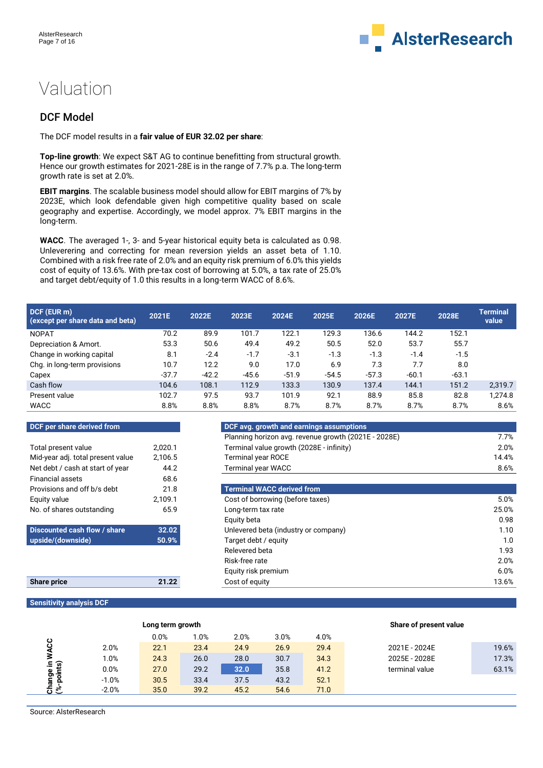

# Valuation

# DCF Model

The DCF model results in a **fair value of EUR 32.02 per share**:

**Top-line growth**: We expect S&T AG to continue benefitting from structural growth. Hence our growth estimates for 2021-28E is in the range of 7.7% p.a. The long-term growth rate is set at 2.0%.

**EBIT margins**. The scalable business model should allow for EBIT margins of 7% by 2023E, which look defendable given high competitive quality based on scale geography and expertise. Accordingly, we model approx. 7% EBIT margins in the long-term.

WACC. The averaged 1-, 3- and 5-year historical equity beta is calculated as 0.98. Unleverering and correcting for mean reversion yields an asset beta of 1.10. Combined with a risk free rate of 2.0% and an equity risk premium of 6.0% this yields cost of equity of 13.6%. With pre-tax cost of borrowing at 5.0%, a tax rate of 25.0% and target debt/equity of 1.0 this results in a long-term WACC of 8.6%.

| DCF (EUR m)<br>(except per share data and beta) | 2021E   | 2022E   | 2023E   | 2024E   | 2025E   | 2026E   | 2027E   | 2028E   | <b>Terminal</b><br>value |
|-------------------------------------------------|---------|---------|---------|---------|---------|---------|---------|---------|--------------------------|
| <b>NOPAT</b>                                    | 70.2    | 89.9    | 101.7   | 122.1   | 129.3   | 136.6   | 144.2   | 152.1   |                          |
| Depreciation & Amort.                           | 53.3    | 50.6    | 49.4    | 49.2    | 50.5    | 52.0    | 53.7    | 55.7    |                          |
| Change in working capital                       | 8.1     | $-2.4$  | $-1.7$  | $-3.1$  | $-1.3$  | $-1.3$  | $-1.4$  | $-1.5$  |                          |
| Chg. in long-term provisions                    | 10.7    | 12.2    | 9.0     | 17.0    | 6.9     | 7.3     | 7.7     | 8.0     |                          |
| Capex                                           | $-37.7$ | $-42.2$ | $-45.6$ | $-51.9$ | $-54.5$ | $-57.3$ | $-60.1$ | $-63.1$ |                          |
| Cash flow                                       | 104.6   | 108.1   | 112.9   | 133.3   | 130.9   | 137.4   | 144.1   | 151.2   | 2,319.7                  |
| Present value                                   | 102.7   | 97.5    | 93.7    | 101.9   | 92.1    | 88.9    | 85.8    | 82.8    | 1.274.8                  |
| WACC                                            | 8.8%    | 8.8%    | 8.8%    | 8.7%    | 8.7%    | 8.7%    | 8.7%    | 8.7%    | 8.6%                     |

| DCF per share derived from        |         | DCF avg. growth and earning       |
|-----------------------------------|---------|-----------------------------------|
|                                   |         | Planning horizon avg. revenue     |
| Total present value               | 2.020.1 | Terminal value growth (2028E      |
| Mid-year adj. total present value | 2.106.5 | <b>Terminal year ROCE</b>         |
| Net debt / cash at start of year  | 44.2    | <b>Terminal year WACC</b>         |
| <b>Financial assets</b>           | 68.6    |                                   |
| Provisions and off b/s debt       | 21.8    | <b>Terminal WACC derived from</b> |
|                                   |         |                                   |
| Equity value                      | 2.109.1 | Cost of borrowing (before tax     |
| No. of shares outstanding         | 65.9    | Long-term tax rate                |
|                                   |         | Equity beta                       |
| Discounted cash flow / share      | 32.02   | Unlevered beta (industry or co    |
| upside/(downside)                 | 50.9%   | Target debt / equity              |

| DUT DEI SHAIE GEHVEU HUIH         |         | DUF avy. growth and earnings assumptions             |         |
|-----------------------------------|---------|------------------------------------------------------|---------|
|                                   |         | Planning horizon avg. revenue growth (2021E - 2028E) | 7.7%    |
| Total present value               | 2.020.1 | Terminal value growth (2028E - infinity)             | 2.0%    |
| Mid-year adj. total present value | 2,106.5 | <b>Terminal year ROCE</b>                            | 14.4%   |
| Net debt / cash at start of year  | 44.2    | <b>Terminal year WACC</b>                            | 8.6%    |
| Financial assets                  | 68.6    |                                                      |         |
| Provisions and off b/s debt       | 21.8    | <b>Terminal WACC derived from</b>                    |         |
| Equity value                      | 2.109.1 | Cost of borrowing (before taxes)                     | $5.0\%$ |
| No. of shares outstanding         | 65.9    | Long-term tax rate                                   | 25.0%   |
|                                   |         | Equity beta                                          | 0.98    |
| Discounted cash flow / share      | 32.02   | Unlevered beta (industry or company)                 | 1.10    |

| Discounted cash flow / share | 32.02 | Unlevered beta (industry or company) | 1.10  |
|------------------------------|-------|--------------------------------------|-------|
| upside/(downside)            | 50.9% | Target debt / equity                 | 1.0   |
|                              |       | Relevered beta                       | 1.93  |
|                              |       | Risk-free rate                       | 2.0%  |
|                              |       | Equity risk premium                  | 6.0%  |
| <b>Share price</b>           | 21.22 | Cost of equity                       | 13.6% |

## **Sensitivity analysis DCF**

|                    |         | Long term growth |      |      |      |      | Share of present value |       |
|--------------------|---------|------------------|------|------|------|------|------------------------|-------|
|                    |         | 0.0%             | 1.0% | 2.0% | 3.0% | 4.0% |                        |       |
| <b>WACC</b>        | 2.0%    | 22.1             | 23.4 | 24.9 | 26.9 | 29.4 | 2021E - 2024E          | 19.6% |
|                    | $1.0\%$ | 24.3             | 26.0 | 28.0 | 30.7 | 34.3 | 2025E - 2028E          | 17.3% |
| .≘ _ລ              | 0.0%    | 27.0             | 29.2 | 32.0 | 35.8 | 41.2 | terminal value         | 63.1% |
| Change<br>(%-point | $-1.0%$ | 30.5             | 33.4 | 37.5 | 43.2 | 52.1 |                        |       |
|                    | $-2.0%$ | 35.0             | 39.2 | 45.2 | 54.6 | 71.0 |                        |       |

Source: AlsterResearch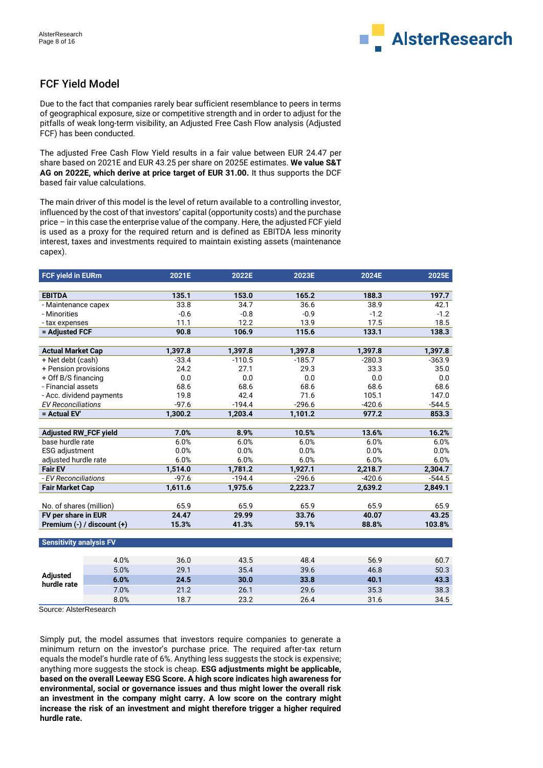

# FCF Yield Model

Due to the fact that companies rarely bear sufficient resemblance to peers in terms of geographical exposure, size or competitive strength and in order to adjust for the pitfalls of weak long-term visibility, an Adjusted Free Cash Flow analysis (Adjusted FCF) has been conducted.

The adjusted Free Cash Flow Yield results in a fair value between EUR 24.47 per share based on 2021E and EUR 43.25 per share on 2025E estimates. **We value S&T AG on 2022E, which derive at price target of EUR 31.00.** It thus supports the DCF based fair value calculations.

The main driver of this model is the level of return available to a controlling investor, influenced by the cost of that investors' capital (opportunity costs) and the purchase price – in this case the enterprise value of the company. Here, the adjusted FCF yield is used as a proxy for the required return and is defined as EBITDA less minority interest, taxes and investments required to maintain existing assets (maintenance capex).

| <b>FCF yield in EURm</b>       |                            | 2021E   | 2022E    | 2023E    | 2024E    | 2025E    |
|--------------------------------|----------------------------|---------|----------|----------|----------|----------|
|                                |                            |         |          |          |          |          |
| <b>EBITDA</b>                  |                            | 135.1   | 153.0    | 165.2    | 188.3    | 197.7    |
| - Maintenance capex            |                            | 33.8    | 34.7     | 36.6     | 38.9     | 42.1     |
| - Minorities                   |                            | $-0.6$  | $-0.8$   | $-0.9$   | $-1.2$   | $-1.2$   |
| - tax expenses                 |                            | 11.1    | 12.2     | 13.9     | 17.5     | 18.5     |
| = Adjusted FCF                 |                            | 90.8    | 106.9    | 115.6    | 133.1    | 138.3    |
|                                |                            |         |          |          |          |          |
| <b>Actual Market Cap</b>       |                            | 1,397.8 | 1,397.8  | 1,397.8  | 1,397.8  | 1,397.8  |
| + Net debt (cash)              |                            | $-33.4$ | $-110.5$ | $-185.7$ | $-280.3$ | $-363.9$ |
| + Pension provisions           |                            | 24.2    | 27.1     | 29.3     | 33.3     | 35.0     |
| + Off B/S financing            |                            | 0.0     | $0.0\,$  | 0.0      | 0.0      | 0.0      |
| - Financial assets             |                            | 68.6    | 68.6     | 68.6     | 68.6     | 68.6     |
| - Acc. dividend payments       |                            | 19.8    | 42.4     | 71.6     | 105.1    | 147.0    |
| <b>EV Reconciliations</b>      |                            | $-97.6$ | $-194.4$ | $-296.6$ | $-420.6$ | $-544.5$ |
| = Actual EV'                   |                            | 1,300.2 | 1,203.4  | 1,101.2  | 977.2    | 853.3    |
|                                |                            |         |          |          |          |          |
| <b>Adjusted RW_FCF yield</b>   |                            | 7.0%    | 8.9%     | 10.5%    | 13.6%    | 16.2%    |
| base hurdle rate               |                            | 6.0%    | 6.0%     | 6.0%     | 6.0%     | 6.0%     |
| <b>ESG</b> adjustment          |                            | 0.0%    | 0.0%     | 0.0%     | 0.0%     | 0.0%     |
| adjusted hurdle rate           |                            | 6.0%    | 6.0%     | 6.0%     | 6.0%     | 6.0%     |
| <b>Fair EV</b>                 |                            | 1,514.0 | 1,781.2  | 1,927.1  | 2,218.7  | 2,304.7  |
| - EV Reconciliations           |                            | $-97.6$ | $-194.4$ | $-296.6$ | $-420.6$ | $-544.5$ |
| <b>Fair Market Cap</b>         |                            | 1,611.6 | 1,975.6  | 2,223.7  | 2,639.2  | 2,849.1  |
|                                |                            |         |          |          |          |          |
| No. of shares (million)        |                            | 65.9    | 65.9     | 65.9     | 65.9     | 65.9     |
| FV per share in EUR            |                            | 24.47   | 29.99    | 33.76    | 40.07    | 43.25    |
|                                | Premium (-) / discount (+) | 15.3%   | 41.3%    | 59.1%    | 88.8%    | 103.8%   |
|                                |                            |         |          |          |          |          |
| <b>Sensitivity analysis FV</b> |                            |         |          |          |          |          |
|                                |                            |         |          |          |          |          |
|                                | 4.0%                       | 36.0    | 43.5     | 48.4     | 56.9     | 60.7     |
|                                | 5.0%                       | 29.1    | 35.4     | 39.6     | 46.8     | 50.3     |
| <b>Adjusted</b><br>hurdle rate | 6.0%                       | 24.5    | 30.0     | 33.8     | 40.1     | 43.3     |
|                                | 7.0%                       | 21.2    | 26.1     | 29.6     | 35.3     | 38.3     |
|                                | 8.0%                       | 18.7    | 23.2     | 26.4     | 31.6     | 34.5     |

Source: AlsterResearch

Simply put, the model assumes that investors require companies to generate a minimum return on the investor's purchase price. The required after-tax return equals the model's hurdle rate of 6%. Anything less suggests the stock is expensive; anything more suggests the stock is cheap. **ESG adjustments might be applicable, based on the overall Leeway ESG Score. A high score indicates high awareness for environmental, social or governance issues and thus might lower the overall risk an investment in the company might carry. A low score on the contrary might increase the risk of an investment and might therefore trigger a higher required hurdle rate.**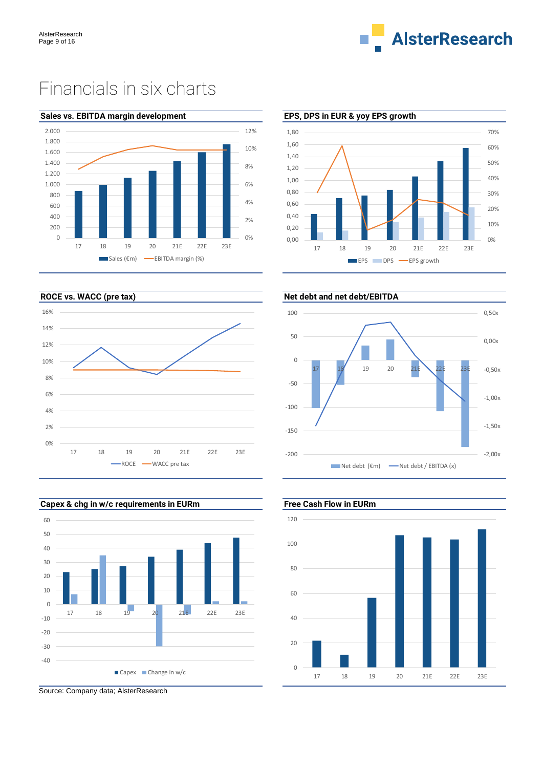

# Financials in six charts



# **Sales vs. EBITDA margin development EPS, DPS in EUR & yoy EPS growth**









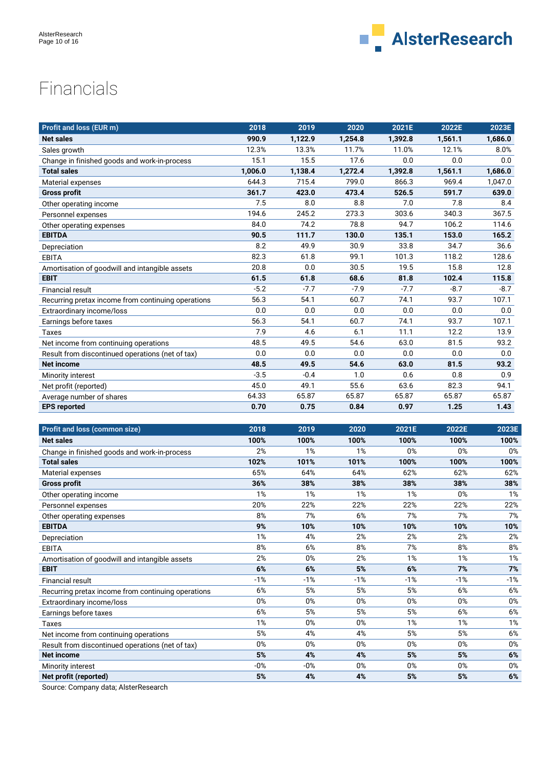

# Financials

| <b>Profit and loss (EUR m)</b>                     | 2018    | 2019    | 2020    | 2021E   | 2022E   | 2023E   |
|----------------------------------------------------|---------|---------|---------|---------|---------|---------|
| <b>Net sales</b>                                   | 990.9   | 1,122.9 | 1,254.8 | 1,392.8 | 1,561.1 | 1.686.0 |
| Sales growth                                       | 12.3%   | 13.3%   | 11.7%   | 11.0%   | 12.1%   | 8.0%    |
| Change in finished goods and work-in-process       | 15.1    | 15.5    | 17.6    | 0.0     | 0.0     | 0.0     |
| <b>Total sales</b>                                 | 1,006.0 | 1,138.4 | 1,272.4 | 1,392.8 | 1,561.1 | 1,686.0 |
| Material expenses                                  | 644.3   | 715.4   | 799.0   | 866.3   | 969.4   | 1,047.0 |
| <b>Gross profit</b>                                | 361.7   | 423.0   | 473.4   | 526.5   | 591.7   | 639.0   |
| Other operating income                             | 7.5     | 8.0     | 8.8     | 7.0     | 7.8     | 8.4     |
| Personnel expenses                                 | 194.6   | 245.2   | 273.3   | 303.6   | 340.3   | 367.5   |
| Other operating expenses                           | 84.0    | 74.2    | 78.8    | 94.7    | 106.2   | 114.6   |
| <b>EBITDA</b>                                      | 90.5    | 111.7   | 130.0   | 135.1   | 153.0   | 165.2   |
| Depreciation                                       | 8.2     | 49.9    | 30.9    | 33.8    | 34.7    | 36.6    |
| <b>EBITA</b>                                       | 82.3    | 61.8    | 99.1    | 101.3   | 118.2   | 128.6   |
| Amortisation of goodwill and intangible assets     | 20.8    | 0.0     | 30.5    | 19.5    | 15.8    | 12.8    |
| <b>EBIT</b>                                        | 61.5    | 61.8    | 68.6    | 81.8    | 102.4   | 115.8   |
| <b>Financial result</b>                            | $-5.2$  | $-7.7$  | $-7.9$  | $-7.7$  | $-8.7$  | $-8.7$  |
| Recurring pretax income from continuing operations | 56.3    | 54.1    | 60.7    | 74.1    | 93.7    | 107.1   |
| Extraordinary income/loss                          | 0.0     | 0.0     | 0.0     | 0.0     | 0.0     | 0.0     |
| Earnings before taxes                              | 56.3    | 54.1    | 60.7    | 74.1    | 93.7    | 107.1   |
| Taxes                                              | 7.9     | 4.6     | 6.1     | 11.1    | 12.2    | 13.9    |
| Net income from continuing operations              | 48.5    | 49.5    | 54.6    | 63.0    | 81.5    | 93.2    |
| Result from discontinued operations (net of tax)   | 0.0     | 0.0     | 0.0     | 0.0     | 0.0     | 0.0     |
| <b>Net income</b>                                  | 48.5    | 49.5    | 54.6    | 63.0    | 81.5    | 93.2    |
| Minority interest                                  | $-3.5$  | $-0.4$  | 1.0     | 0.6     | 0.8     | 0.9     |
| Net profit (reported)                              | 45.0    | 49.1    | 55.6    | 63.6    | 82.3    | 94.1    |
| Average number of shares                           | 64.33   | 65.87   | 65.87   | 65.87   | 65.87   | 65.87   |
| <b>EPS reported</b>                                | 0.70    | 0.75    | 0.84    | 0.97    | 1.25    | 1.43    |

| <b>Profit and loss (common size)</b>               | 2018  | 2019  | 2020  | 2021E | 2022E | 2023E |
|----------------------------------------------------|-------|-------|-------|-------|-------|-------|
| <b>Net sales</b>                                   | 100%  | 100%  | 100%  | 100%  | 100%  | 100%  |
| Change in finished goods and work-in-process       | 2%    | 1%    | 1%    | 0%    | 0%    | 0%    |
| <b>Total sales</b>                                 | 102%  | 101%  | 101%  | 100%  | 100%  | 100%  |
| Material expenses                                  | 65%   | 64%   | 64%   | 62%   | 62%   | 62%   |
| <b>Gross profit</b>                                | 36%   | 38%   | 38%   | 38%   | 38%   | 38%   |
| Other operating income                             | 1%    | 1%    | 1%    | 1%    | 0%    | 1%    |
| Personnel expenses                                 | 20%   | 22%   | 22%   | 22%   | 22%   | 22%   |
| Other operating expenses                           | 8%    | 7%    | 6%    | 7%    | 7%    | 7%    |
| <b>EBITDA</b>                                      | 9%    | 10%   | 10%   | 10%   | 10%   | 10%   |
| Depreciation                                       | 1%    | 4%    | 2%    | 2%    | 2%    | 2%    |
| <b>EBITA</b>                                       | 8%    | 6%    | 8%    | 7%    | 8%    | 8%    |
| Amortisation of goodwill and intangible assets     | 2%    | $0\%$ | 2%    | 1%    | 1%    | 1%    |
| <b>EBIT</b>                                        | 6%    | 6%    | 5%    | 6%    | 7%    | 7%    |
| <b>Financial result</b>                            | $-1%$ | $-1%$ | $-1%$ | $-1%$ | $-1%$ | $-1%$ |
| Recurring pretax income from continuing operations | 6%    | 5%    | 5%    | 5%    | 6%    | 6%    |
| Extraordinary income/loss                          | 0%    | 0%    | 0%    | 0%    | 0%    | 0%    |
| Earnings before taxes                              | 6%    | 5%    | 5%    | 5%    | 6%    | 6%    |
| Taxes                                              | 1%    | 0%    | 0%    | 1%    | 1%    | 1%    |
| Net income from continuing operations              | 5%    | 4%    | 4%    | 5%    | 5%    | 6%    |
| Result from discontinued operations (net of tax)   | 0%    | $0\%$ | 0%    | 0%    | 0%    | $0\%$ |
| <b>Net income</b>                                  | 5%    | 4%    | 4%    | 5%    | 5%    | 6%    |
| Minority interest                                  | $-0%$ | $-0%$ | 0%    | 0%    | 0%    | $0\%$ |
| Net profit (reported)                              | 5%    | 4%    | 4%    | 5%    | 5%    | 6%    |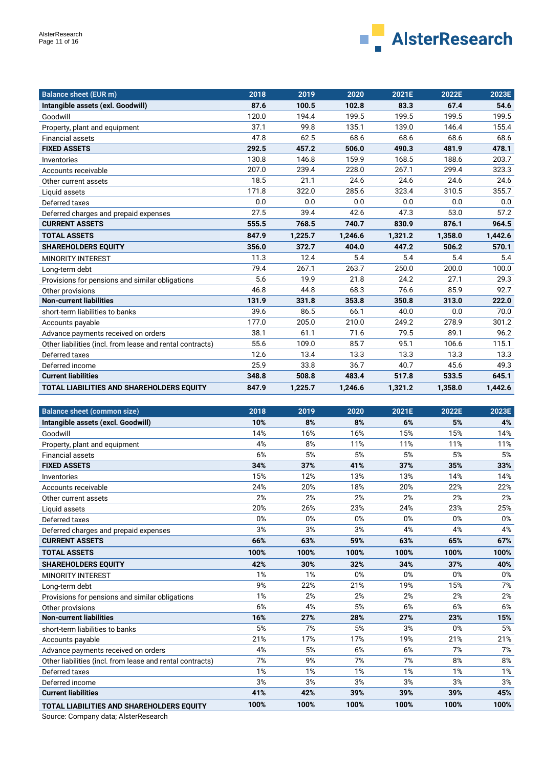

| <b>Balance sheet (EUR m)</b>                              | 2018  | 2019    | 2020    | 2021E   | 2022E   | 2023E   |
|-----------------------------------------------------------|-------|---------|---------|---------|---------|---------|
| Intangible assets (exl. Goodwill)                         | 87.6  | 100.5   | 102.8   | 83.3    | 67.4    | 54.6    |
| Goodwill                                                  | 120.0 | 194.4   | 199.5   | 199.5   | 199.5   | 199.5   |
| Property, plant and equipment                             | 37.1  | 99.8    | 135.1   | 139.0   | 146.4   | 155.4   |
| <b>Financial assets</b>                                   | 47.8  | 62.5    | 68.6    | 68.6    | 68.6    | 68.6    |
| <b>FIXED ASSETS</b>                                       | 292.5 | 457.2   | 506.0   | 490.3   | 481.9   | 478.1   |
| Inventories                                               | 130.8 | 146.8   | 159.9   | 168.5   | 188.6   | 203.7   |
| Accounts receivable                                       | 207.0 | 239.4   | 228.0   | 267.1   | 299.4   | 323.3   |
| Other current assets                                      | 18.5  | 21.1    | 24.6    | 24.6    | 24.6    | 24.6    |
| Liquid assets                                             | 171.8 | 322.0   | 285.6   | 323.4   | 310.5   | 355.7   |
| Deferred taxes                                            | 0.0   | 0.0     | 0.0     | 0.0     | 0.0     | 0.0     |
| Deferred charges and prepaid expenses                     | 27.5  | 39.4    | 42.6    | 47.3    | 53.0    | 57.2    |
| <b>CURRENT ASSETS</b>                                     | 555.5 | 768.5   | 740.7   | 830.9   | 876.1   | 964.5   |
| <b>TOTAL ASSETS</b>                                       | 847.9 | 1,225.7 | 1,246.6 | 1,321.2 | 1,358.0 | 1,442.6 |
| <b>SHAREHOLDERS EQUITY</b>                                | 356.0 | 372.7   | 404.0   | 447.2   | 506.2   | 570.1   |
| <b>MINORITY INTEREST</b>                                  | 11.3  | 12.4    | 5.4     | 5.4     | 5.4     | 5.4     |
| Long-term debt                                            | 79.4  | 267.1   | 263.7   | 250.0   | 200.0   | 100.0   |
| Provisions for pensions and similar obligations           | 5.6   | 19.9    | 21.8    | 24.2    | 27.1    | 29.3    |
| Other provisions                                          | 46.8  | 44.8    | 68.3    | 76.6    | 85.9    | 92.7    |
| <b>Non-current liabilities</b>                            | 131.9 | 331.8   | 353.8   | 350.8   | 313.0   | 222.0   |
| short-term liabilities to banks                           | 39.6  | 86.5    | 66.1    | 40.0    | 0.0     | 70.0    |
| Accounts payable                                          | 177.0 | 205.0   | 210.0   | 249.2   | 278.9   | 301.2   |
| Advance payments received on orders                       | 38.1  | 61.1    | 71.6    | 79.5    | 89.1    | 96.2    |
| Other liabilities (incl. from lease and rental contracts) | 55.6  | 109.0   | 85.7    | 95.1    | 106.6   | 115.1   |
| Deferred taxes                                            | 12.6  | 13.4    | 13.3    | 13.3    | 13.3    | 13.3    |
| Deferred income                                           | 25.9  | 33.8    | 36.7    | 40.7    | 45.6    | 49.3    |
| <b>Current liabilities</b>                                | 348.8 | 508.8   | 483.4   | 517.8   | 533.5   | 645.1   |
| TOTAL LIABILITIES AND SHAREHOLDERS EQUITY                 | 847.9 | 1,225.7 | 1,246.6 | 1,321.2 | 1,358.0 | 1,442.6 |

| <b>Balance sheet (common size)</b>                        | 2018 | 2019 | 2020 | 2021E | 2022E | 2023E |
|-----------------------------------------------------------|------|------|------|-------|-------|-------|
| Intangible assets (excl. Goodwill)                        | 10%  | 8%   | 8%   | 6%    | 5%    | 4%    |
| Goodwill                                                  | 14%  | 16%  | 16%  | 15%   | 15%   | 14%   |
| Property, plant and equipment                             | 4%   | 8%   | 11%  | 11%   | 11%   | 11%   |
| <b>Financial assets</b>                                   | 6%   | 5%   | 5%   | 5%    | 5%    | 5%    |
| <b>FIXED ASSETS</b>                                       | 34%  | 37%  | 41%  | 37%   | 35%   | 33%   |
| Inventories                                               | 15%  | 12%  | 13%  | 13%   | 14%   | 14%   |
| Accounts receivable                                       | 24%  | 20%  | 18%  | 20%   | 22%   | 22%   |
| Other current assets                                      | 2%   | 2%   | 2%   | 2%    | 2%    | 2%    |
| Liquid assets                                             | 20%  | 26%  | 23%  | 24%   | 23%   | 25%   |
| Deferred taxes                                            | 0%   | 0%   | 0%   | 0%    | 0%    | 0%    |
| Deferred charges and prepaid expenses                     | 3%   | 3%   | 3%   | 4%    | 4%    | 4%    |
| <b>CURRENT ASSETS</b>                                     | 66%  | 63%  | 59%  | 63%   | 65%   | 67%   |
| <b>TOTAL ASSETS</b>                                       | 100% | 100% | 100% | 100%  | 100%  | 100%  |
| <b>SHAREHOLDERS EQUITY</b>                                | 42%  | 30%  | 32%  | 34%   | 37%   | 40%   |
| <b>MINORITY INTEREST</b>                                  | 1%   | 1%   | 0%   | 0%    | 0%    | 0%    |
| Long-term debt                                            | 9%   | 22%  | 21%  | 19%   | 15%   | 7%    |
| Provisions for pensions and similar obligations           | 1%   | 2%   | 2%   | 2%    | 2%    | 2%    |
| Other provisions                                          | 6%   | 4%   | 5%   | 6%    | 6%    | 6%    |
| <b>Non-current liabilities</b>                            | 16%  | 27%  | 28%  | 27%   | 23%   | 15%   |
| short-term liabilities to banks                           | 5%   | 7%   | 5%   | 3%    | 0%    | 5%    |
| Accounts payable                                          | 21%  | 17%  | 17%  | 19%   | 21%   | 21%   |
| Advance payments received on orders                       | 4%   | 5%   | 6%   | 6%    | 7%    | 7%    |
| Other liabilities (incl. from lease and rental contracts) | 7%   | 9%   | 7%   | 7%    | 8%    | 8%    |
| Deferred taxes                                            | 1%   | 1%   | 1%   | 1%    | 1%    | 1%    |
| Deferred income                                           | 3%   | 3%   | 3%   | 3%    | 3%    | 3%    |
| <b>Current liabilities</b>                                | 41%  | 42%  | 39%  | 39%   | 39%   | 45%   |
| <b>TOTAL LIABILITIES AND SHAREHOLDERS EQUITY</b>          | 100% | 100% | 100% | 100%  | 100%  | 100%  |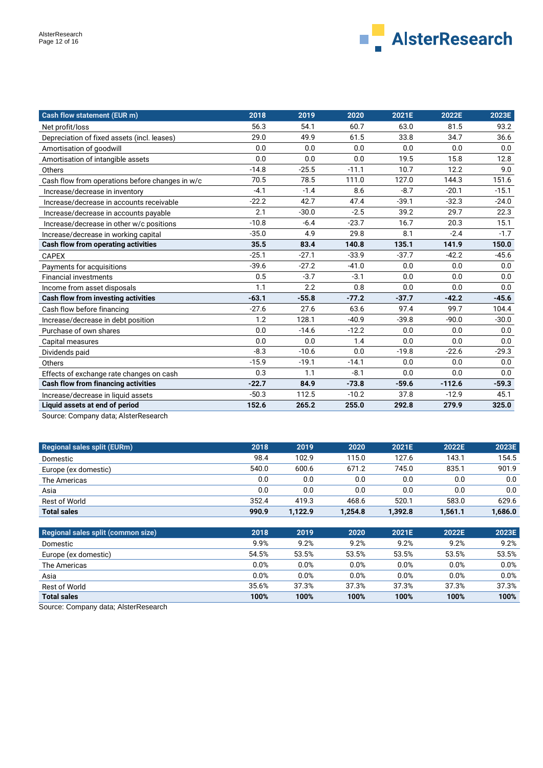

| Cash flow statement (EUR m)                     | 2018    | 2019    | 2020    | 2021E   | 2022E    | 2023E   |
|-------------------------------------------------|---------|---------|---------|---------|----------|---------|
| Net profit/loss                                 | 56.3    | 54.1    | 60.7    | 63.0    | 81.5     | 93.2    |
| Depreciation of fixed assets (incl. leases)     | 29.0    | 49.9    | 61.5    | 33.8    | 34.7     | 36.6    |
| Amortisation of goodwill                        | 0.0     | 0.0     | 0.0     | 0.0     | 0.0      | 0.0     |
| Amortisation of intangible assets               | 0.0     | 0.0     | 0.0     | 19.5    | 15.8     | 12.8    |
| Others                                          | $-14.8$ | $-25.5$ | $-11.1$ | 10.7    | 12.2     | 9.0     |
| Cash flow from operations before changes in w/c | 70.5    | 78.5    | 111.0   | 127.0   | 144.3    | 151.6   |
| Increase/decrease in inventory                  | $-4.1$  | $-1.4$  | 8.6     | $-8.7$  | $-20.1$  | $-15.1$ |
| Increase/decrease in accounts receivable        | $-22.2$ | 42.7    | 47.4    | $-39.1$ | $-32.3$  | $-24.0$ |
| Increase/decrease in accounts payable           | 2.1     | $-30.0$ | $-2.5$  | 39.2    | 29.7     | 22.3    |
| Increase/decrease in other w/c positions        | $-10.8$ | $-6.4$  | $-23.7$ | 16.7    | 20.3     | 15.1    |
| Increase/decrease in working capital            | $-35.0$ | 4.9     | 29.8    | 8.1     | $-2.4$   | $-1.7$  |
| Cash flow from operating activities             | 35.5    | 83.4    | 140.8   | 135.1   | 141.9    | 150.0   |
| <b>CAPEX</b>                                    | $-25.1$ | $-27.1$ | $-33.9$ | $-37.7$ | $-42.2$  | $-45.6$ |
| Payments for acquisitions                       | $-39.6$ | $-27.2$ | $-41.0$ | 0.0     | 0.0      | 0.0     |
| <b>Financial investments</b>                    | 0.5     | $-3.7$  | $-3.1$  | 0.0     | 0.0      | 0.0     |
| Income from asset disposals                     | 1.1     | 2.2     | 0.8     | 0.0     | 0.0      | 0.0     |
| <b>Cash flow from investing activities</b>      | $-63.1$ | $-55.8$ | $-77.2$ | $-37.7$ | $-42.2$  | $-45.6$ |
| Cash flow before financing                      | $-27.6$ | 27.6    | 63.6    | 97.4    | 99.7     | 104.4   |
| Increase/decrease in debt position              | 1.2     | 128.1   | $-40.9$ | $-39.8$ | $-90.0$  | $-30.0$ |
| Purchase of own shares                          | 0.0     | $-14.6$ | $-12.2$ | 0.0     | 0.0      | 0.0     |
| Capital measures                                | 0.0     | 0.0     | 1.4     | 0.0     | 0.0      | 0.0     |
| Dividends paid                                  | $-8.3$  | $-10.6$ | 0.0     | $-19.8$ | $-22.6$  | $-29.3$ |
| Others                                          | $-15.9$ | $-19.1$ | $-14.1$ | 0.0     | 0.0      | 0.0     |
| Effects of exchange rate changes on cash        | 0.3     | 1.1     | $-8.1$  | 0.0     | 0.0      | 0.0     |
| Cash flow from financing activities             | $-22.7$ | 84.9    | $-73.8$ | $-59.6$ | $-112.6$ | $-59.3$ |
| Increase/decrease in liquid assets              | $-50.3$ | 112.5   | $-10.2$ | 37.8    | $-12.9$  | 45.1    |
| Liquid assets at end of period                  | 152.6   | 265.2   | 255.0   | 292.8   | 279.9    | 325.0   |

Source: Company data; AlsterResearch

| <b>Regional sales split (EURm)</b> | 2018  | 2019    | 2020    | 2021E   | 2022E   | 2023E   |
|------------------------------------|-------|---------|---------|---------|---------|---------|
| Domestic                           | 98.4  | 102.9   | 115.0   | 127.6   | 143.1   | 154.5   |
| Europe (ex domestic)               | 540.0 | 600.6   | 671.2   | 745.0   | 835.1   | 901.9   |
| The Americas                       | 0.0   | 0.0     | 0.0     | 0.0     | 0.0     | 0.0     |
| Asia                               | 0.0   | 0.0     | 0.0     | 0.0     | 0.0     | 0.0     |
| Rest of World                      | 352.4 | 419.3   | 468.6   | 520.1   | 583.0   | 629.6   |
| <b>Total sales</b>                 | 990.9 | 1.122.9 | 1,254.8 | 1.392.8 | 1,561.1 | 1,686.0 |

| Regional sales split (common size) | 2018  | 2019  | 2020  | 2021E   | 2022E | 2023E |
|------------------------------------|-------|-------|-------|---------|-------|-------|
| Domestic                           | 9.9%  | 9.2%  | 9.2%  | 9.2%    | 9.2%  | 9.2%  |
| Europe (ex domestic)               | 54.5% | 53.5% | 53.5% | 53.5%   | 53.5% | 53.5% |
| The Americas                       | 0.0%  | 0.0%  | 0.0%  | $0.0\%$ | 0.0%  | 0.0%  |
| Asia                               | 0.0%  | 0.0%  | 0.0%  | 0.0%    | 0.0%  | 0.0%  |
| Rest of World                      | 35.6% | 37.3% | 37.3% | 37.3%   | 37.3% | 37.3% |
| <b>Total sales</b>                 | 100%  | 100%  | 100%  | 100%    | 100%  | 100%  |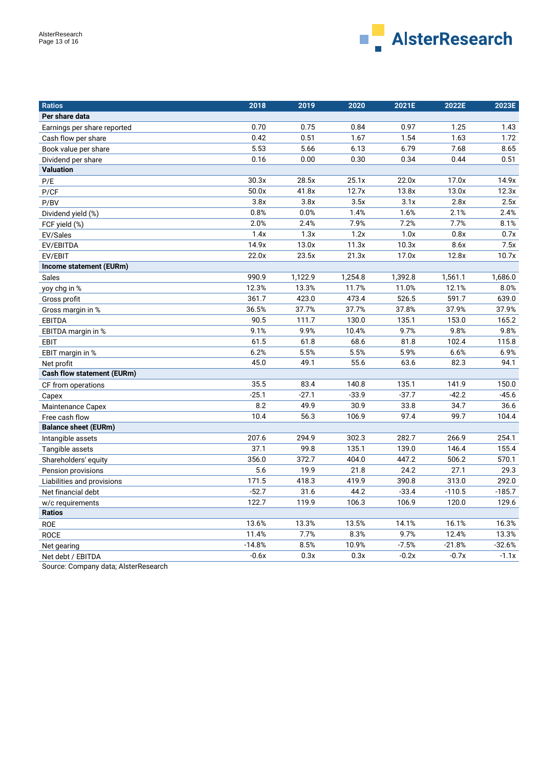

| Ratios                            | 2018     | 2019    | 2020    | 2021E   | 2022E    | 2023E    |
|-----------------------------------|----------|---------|---------|---------|----------|----------|
| Per share data                    |          |         |         |         |          |          |
| Earnings per share reported       | 0.70     | 0.75    | 0.84    | 0.97    | 1.25     | 1.43     |
| Cash flow per share               | 0.42     | 0.51    | 1.67    | 1.54    | 1.63     | 1.72     |
| Book value per share              | 5.53     | 5.66    | 6.13    | 6.79    | 7.68     | 8.65     |
| Dividend per share                | 0.16     | 0.00    | 0.30    | 0.34    | 0.44     | 0.51     |
| <b>Valuation</b>                  |          |         |         |         |          |          |
| P/E                               | 30.3x    | 28.5x   | 25.1x   | 22.0x   | 17.0x    | 14.9x    |
| P/CF                              | 50.0x    | 41.8x   | 12.7x   | 13.8x   | 13.0x    | 12.3x    |
| P/BV                              | 3.8x     | 3.8x    | 3.5x    | 3.1x    | 2.8x     | 2.5x     |
| Dividend yield (%)                | 0.8%     | 0.0%    | 1.4%    | 1.6%    | 2.1%     | 2.4%     |
| FCF yield (%)                     | 2.0%     | 2.4%    | 7.9%    | 7.2%    | 7.7%     | 8.1%     |
| EV/Sales                          | 1.4x     | 1.3x    | 1.2x    | 1.0x    | 0.8x     | 0.7x     |
| EV/EBITDA                         | 14.9x    | 13.0x   | 11.3x   | 10.3x   | 8.6x     | 7.5x     |
| EV/EBIT                           | 22.0x    | 23.5x   | 21.3x   | 17.0x   | 12.8x    | 10.7x    |
| Income statement (EURm)           |          |         |         |         |          |          |
| Sales                             | 990.9    | 1,122.9 | 1,254.8 | 1,392.8 | 1,561.1  | 1,686.0  |
| yoy chg in %                      | 12.3%    | 13.3%   | 11.7%   | 11.0%   | 12.1%    | 8.0%     |
| Gross profit                      | 361.7    | 423.0   | 473.4   | 526.5   | 591.7    | 639.0    |
| Gross margin in %                 | 36.5%    | 37.7%   | 37.7%   | 37.8%   | 37.9%    | 37.9%    |
| <b>EBITDA</b>                     | 90.5     | 111.7   | 130.0   | 135.1   | 153.0    | 165.2    |
| EBITDA margin in %                | 9.1%     | 9.9%    | 10.4%   | 9.7%    | 9.8%     | 9.8%     |
| EBIT                              | 61.5     | 61.8    | 68.6    | 81.8    | 102.4    | 115.8    |
| EBIT margin in %                  | 6.2%     | 5.5%    | 5.5%    | 5.9%    | 6.6%     | 6.9%     |
| Net profit                        | 45.0     | 49.1    | 55.6    | 63.6    | 82.3     | 94.1     |
| <b>Cash flow statement (EURm)</b> |          |         |         |         |          |          |
| CF from operations                | 35.5     | 83.4    | 140.8   | 135.1   | 141.9    | 150.0    |
| Capex                             | $-25.1$  | $-27.1$ | $-33.9$ | $-37.7$ | $-42.2$  | $-45.6$  |
| Maintenance Capex                 | 8.2      | 49.9    | 30.9    | 33.8    | 34.7     | 36.6     |
| Free cash flow                    | 10.4     | 56.3    | 106.9   | 97.4    | 99.7     | 104.4    |
| <b>Balance sheet (EURm)</b>       |          |         |         |         |          |          |
| Intangible assets                 | 207.6    | 294.9   | 302.3   | 282.7   | 266.9    | 254.1    |
| Tangible assets                   | 37.1     | 99.8    | 135.1   | 139.0   | 146.4    | 155.4    |
| Shareholders' equity              | 356.0    | 372.7   | 404.0   | 447.2   | 506.2    | 570.1    |
| Pension provisions                | 5.6      | 19.9    | 21.8    | 24.2    | 27.1     | 29.3     |
| Liabilities and provisions        | 171.5    | 418.3   | 419.9   | 390.8   | 313.0    | 292.0    |
| Net financial debt                | $-52.7$  | 31.6    | 44.2    | $-33.4$ | $-110.5$ | $-185.7$ |
| w/c requirements                  | 122.7    | 119.9   | 106.3   | 106.9   | 120.0    | 129.6    |
| <b>Ratios</b>                     |          |         |         |         |          |          |
| <b>ROE</b>                        | 13.6%    | 13.3%   | 13.5%   | 14.1%   | 16.1%    | 16.3%    |
| <b>ROCE</b>                       | 11.4%    | 7.7%    | 8.3%    | 9.7%    | 12.4%    | 13.3%    |
| Net gearing                       | $-14.8%$ | 8.5%    | 10.9%   | $-7.5%$ | $-21.8%$ | $-32.6%$ |
| Net debt / EBITDA                 | $-0.6x$  | 0.3x    | 0.3x    | $-0.2x$ | $-0.7x$  | $-1.1x$  |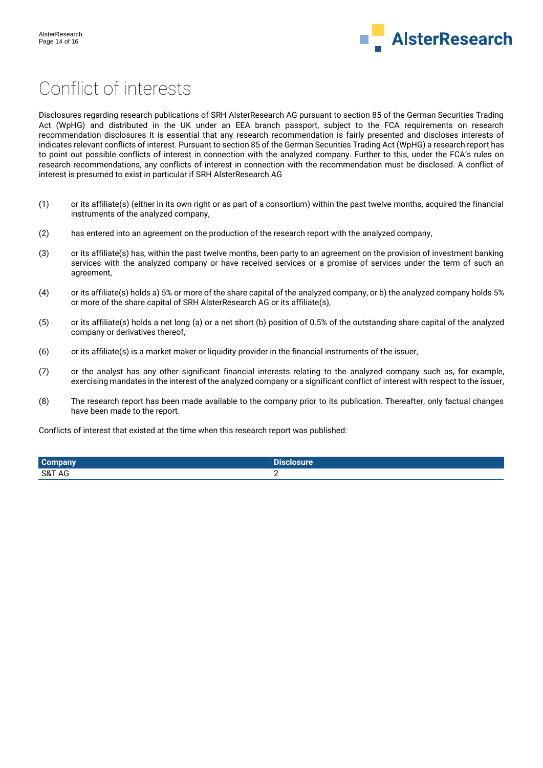

# Conflict of interests

Disclosures regarding research publications of SRH AlsterResearch AG pursuant to section 85 of the German Securities Trading Act (WpHG) and distributed in the UK under an EEA branch passport, subject to the FCA requirements on research recommendation disclosures It is essential that any research recommendation is fairly presented and discloses interests of indicates relevant conflicts of interest. Pursuant to section 85 of the German Securities Trading Act (WpHG) a research report has to point out possible conflicts of interest in connection with the analyzed company. Further to this, under the FCA's rules on research recommendations, any conflicts of interest in connection with the recommendation must be disclosed. A conflict of interest is presumed to exist in particular if SRH AlsterResearch AG

- (1) or its affiliate(s) (either in its own right or as part of a consortium) within the past twelve months, acquired the financial instruments of the analyzed company,
- (2) has entered into an agreement on the production of the research report with the analyzed company,
- (3) or its affiliate(s) has, within the past twelve months, been party to an agreement on the provision of investment banking services with the analyzed company or have received services or a promise of services under the term of such an agreement,
- (4) or its affiliate(s) holds a) 5% or more of the share capital of the analyzed company, or b) the analyzed company holds 5% or more of the share capital of SRH AlsterResearch AG or its affiliate(s),
- (5) or its affiliate(s) holds a net long (a) or a net short (b) position of 0.5% of the outstanding share capital of the analyzed company or derivatives thereof,
- (6) or its affiliate(s) is a market maker or liquidity provider in the financial instruments of the issuer,
- (7) or the analyst has any other significant financial interests relating to the analyzed company such as, for example, exercising mandates in the interest of the analyzed company or a significant conflict of interest with respect to the issuer,
- (8) The research report has been made available to the company prior to its publication. Thereafter, only factual changes have been made to the report.

Conflicts of interest that existed at the time when this research report was published:

| <b>Company</b> | <b>SHA</b><br>losure. |
|----------------|-----------------------|
| S&T AG         |                       |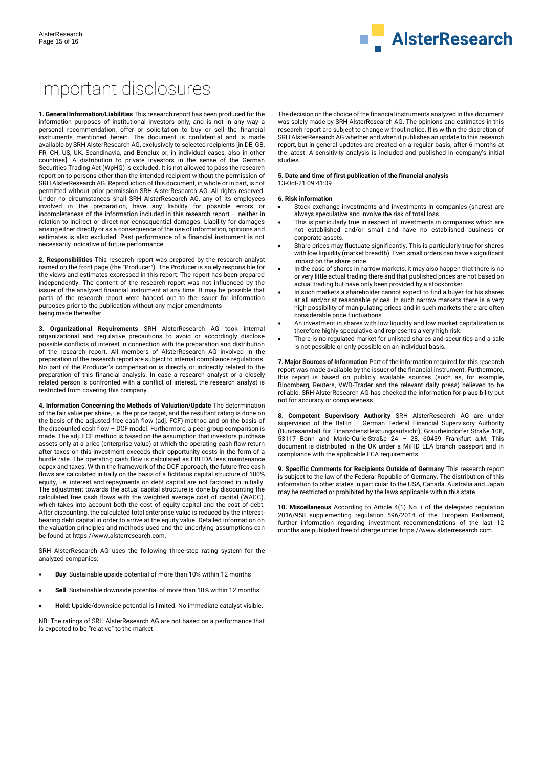

# Important disclosures

**1. General Information/Liabilities** This research report has been produced for the information purposes of institutional investors only, and is not in any way a personal recommendation, offer or solicitation to buy or sell the financial instruments mentioned herein. The document is confidential and is made available by SRH AlsterResearch AG, exclusively to selected recipients [in DE, GB, FR, CH, US, UK, Scandinavia, and Benelux or, in individual cases, also in other countries]. A distribution to private investors in the sense of the German Securities Trading Act (WpHG) is excluded. It is not allowed to pass the research report on to persons other than the intended recipient without the permission of SRH AlsterResearch AG. Reproduction of this document, in whole or in part, is not permitted without prior permission SRH AlsterResearch AG. All rights reserved. Under no circumstances shall SRH AlsterResearch AG, any of its employees involved in the preparation, have any liability for possible errors or incompleteness of the information included in this research report – neither in relation to indirect or direct nor consequential damages. Liability for damages arising either directly or as a consequence of the use of information, opinions and estimates is also excluded. Past performance of a financial instrument is not necessarily indicative of future performance.

**2. Responsibilities** This research report was prepared by the research analyst named on the front page (the "Producer"). The Producer is solely responsible for the views and estimates expressed in this report. The report has been prepared independently. The content of the research report was not influenced by the issuer of the analyzed financial instrument at any time. It may be possible that parts of the research report were handed out to the issuer for information purposes prior to the publication without any major amendments being made thereafter.

**3. Organizational Requirements** SRH AlsterResearch AG took internal organizational and regulative precautions to avoid or accordingly disclose possible conflicts of interest in connection with the preparation and distribution of the research report. All members of AlsterResearch AG involved in the preparation of the research report are subject to internal compliance regulations. No part of the Producer's compensation is directly or indirectly related to the preparation of this financial analysis. In case a research analyst or a closely related person is confronted with a conflict of interest, the research analyst is restricted from covering this company.

**4. Information Concerning the Methods of Valuation/Update** The determination of the fair value per share, i.e. the price target, and the resultant rating is done on the basis of the adjusted free cash flow (adj. FCF) method and on the basis of the discounted cash flow – DCF model. Furthermore, a peer group comparison is made. The adj. FCF method is based on the assumption that investors purchase assets only at a price (enterprise value) at which the operating cash flow return after taxes on this investment exceeds their opportunity costs in the form of a hurdle rate. The operating cash flow is calculated as EBITDA less maintenance capex and taxes. Within the framework of the DCF approach, the future free cash flows are calculated initially on the basis of a fictitious capital structure of 100% equity, i.e. interest and repayments on debt capital are not factored in initially. The adjustment towards the actual capital structure is done by discounting the calculated free cash flows with the weighted average cost of capital (WACC), which takes into account both the cost of equity capital and the cost of debt. After discounting, the calculated total enterprise value is reduced by the interestbearing debt capital in order to arrive at the equity value. Detailed information on the valuation principles and methods used and the underlying assumptions can be found a[t https://www.alsterresearch.com.](https://www.alsterresearch.com/) 

SRH AlsterResearch AG uses the following three-step rating system for the analyzed companies:

- **Buy**: Sustainable upside potential of more than 10% within 12 months
- **Sell**: Sustainable downside potential of more than 10% within 12 months.
- **Hold**: Upside/downside potential is limited. No immediate catalyst visible.

NB: The ratings of SRH AlsterResearch AG are not based on a performance that is expected to be "relative" to the market.

The decision on the choice of the financial instruments analyzed in this document was solely made by SRH AlsterResearch AG. The opinions and estimates in this research report are subject to change without notice. It is within the discretion of SRH AlsterResearch AG whether and when it publishes an update to this research report, but in general updates are created on a regular basis, after 6 months at the latest. A sensitivity analysis is included and published in company's initial studies.

#### **5. Date and time of first publication of the financial analysis** 13-Oct-21 09:41:09

#### **6. Risk information**

- Stock exchange investments and investments in companies (shares) are always speculative and involve the risk of total loss.
- This is particularly true in respect of investments in companies which are not established and/or small and have no established business or corporate assets.
- Share prices may fluctuate significantly. This is particularly true for shares with low liquidity (market breadth). Even small orders can have a significant impact on the share price.
- In the case of shares in narrow markets, it may also happen that there is no or very little actual trading there and that published prices are not based on actual trading but have only been provided by a stockbroker.
- In such markets a shareholder cannot expect to find a buyer for his shares at all and/or at reasonable prices. In such narrow markets there is a very high possibility of manipulating prices and in such markets there are often considerable price fluctuations.
- An investment in shares with low liquidity and low market capitalization is therefore highly speculative and represents a very high risk.
- There is no regulated market for unlisted shares and securities and a sale is not possible or only possible on an individual basis.

**7. Major Sources of Information** Part of the information required for this research report was made available by the issuer of the financial instrument. Furthermore, this report is based on publicly available sources (such as, for example, Bloomberg, Reuters, VWD-Trader and the relevant daily press) believed to be reliable. SRH AlsterResearch AG has checked the information for plausibility but not for accuracy or completeness.

**8. Competent Supervisory Authority** SRH AlsterResearch AG are under supervision of the BaFin – German Federal Financial Supervisory Authority (Bundesanstalt für Finanzdienstleistungsaufsicht), Graurheindorfer Straße 108, 53117 Bonn and Marie-Curie-Straße 24 – 28, 60439 Frankfurt a.M. This document is distributed in the UK under a MiFID EEA branch passport and in compliance with the applicable FCA requirements.

**9. Specific Comments for Recipients Outside of Germany** This research report is subject to the law of the Federal Republic of Germany. The distribution of this information to other states in particular to the USA, Canada, Australia and Japan may be restricted or prohibited by the laws applicable within this state.

**10. Miscellaneous** According to Article 4(1) No. i of the delegated regulation 2016/958 supplementing regulation 596/2014 of the European Parliament, further information regarding investment recommendations of the last 12 months are published free of charge under https://www.alsterresearch.com.